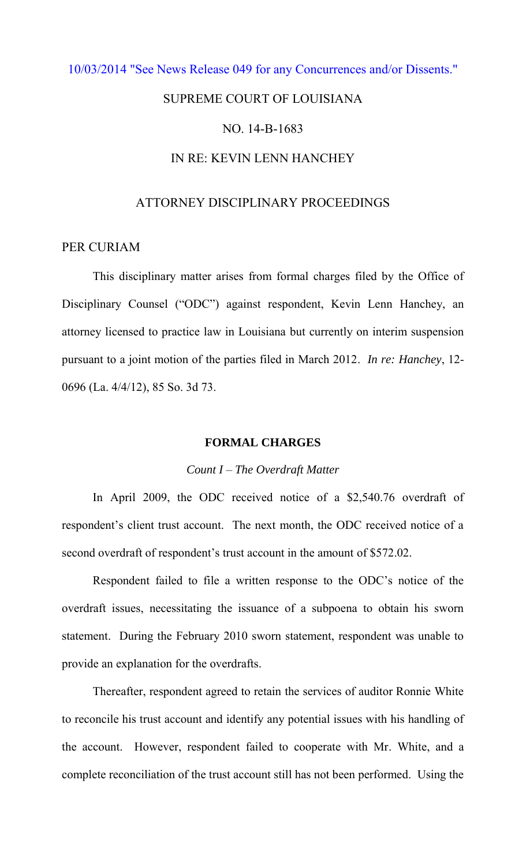### [10/03/2014 "See News Release 049 for any Concurrences and/or Dissents."](http://www.lasc.org/Actions?p=2014-049)

# SUPREME COURT OF LOUISIANA

# NO. 14-B-1683

# IN RE: KEVIN LENN HANCHEY

# ATTORNEY DISCIPLINARY PROCEEDINGS

### PER CURIAM

 This disciplinary matter arises from formal charges filed by the Office of Disciplinary Counsel ("ODC") against respondent, Kevin Lenn Hanchey, an attorney licensed to practice law in Louisiana but currently on interim suspension pursuant to a joint motion of the parties filed in March 2012. *In re: Hanchey*, 12- 0696 (La. 4/4/12), 85 So. 3d 73.

### **FORMAL CHARGES**

#### *Count I – The Overdraft Matter*

 In April 2009, the ODC received notice of a \$2,540.76 overdraft of respondent's client trust account. The next month, the ODC received notice of a second overdraft of respondent's trust account in the amount of \$572.02.

 Respondent failed to file a written response to the ODC's notice of the overdraft issues, necessitating the issuance of a subpoena to obtain his sworn statement. During the February 2010 sworn statement, respondent was unable to provide an explanation for the overdrafts.

 Thereafter, respondent agreed to retain the services of auditor Ronnie White to reconcile his trust account and identify any potential issues with his handling of the account. However, respondent failed to cooperate with Mr. White, and a complete reconciliation of the trust account still has not been performed. Using the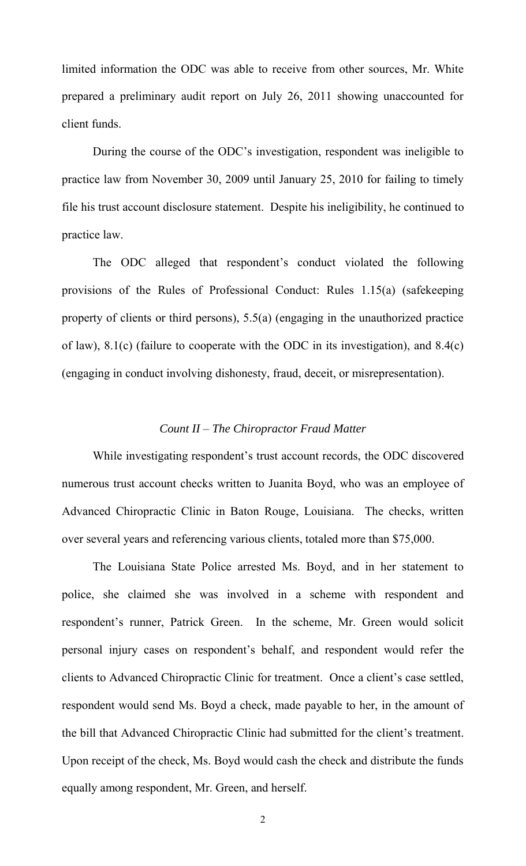limited information the ODC was able to receive from other sources, Mr. White prepared a preliminary audit report on July 26, 2011 showing unaccounted for client funds.

 During the course of the ODC's investigation, respondent was ineligible to practice law from November 30, 2009 until January 25, 2010 for failing to timely file his trust account disclosure statement. Despite his ineligibility, he continued to practice law.

 The ODC alleged that respondent's conduct violated the following provisions of the Rules of Professional Conduct: Rules 1.15(a) (safekeeping property of clients or third persons), 5.5(a) (engaging in the unauthorized practice of law), 8.1(c) (failure to cooperate with the ODC in its investigation), and 8.4(c) (engaging in conduct involving dishonesty, fraud, deceit, or misrepresentation).

### *Count II – The Chiropractor Fraud Matter*

 While investigating respondent's trust account records, the ODC discovered numerous trust account checks written to Juanita Boyd, who was an employee of Advanced Chiropractic Clinic in Baton Rouge, Louisiana. The checks, written over several years and referencing various clients, totaled more than \$75,000.

The Louisiana State Police arrested Ms. Boyd, and in her statement to police, she claimed she was involved in a scheme with respondent and respondent's runner, Patrick Green. In the scheme, Mr. Green would solicit personal injury cases on respondent's behalf, and respondent would refer the clients to Advanced Chiropractic Clinic for treatment. Once a client's case settled, respondent would send Ms. Boyd a check, made payable to her, in the amount of the bill that Advanced Chiropractic Clinic had submitted for the client's treatment. Upon receipt of the check, Ms. Boyd would cash the check and distribute the funds equally among respondent, Mr. Green, and herself.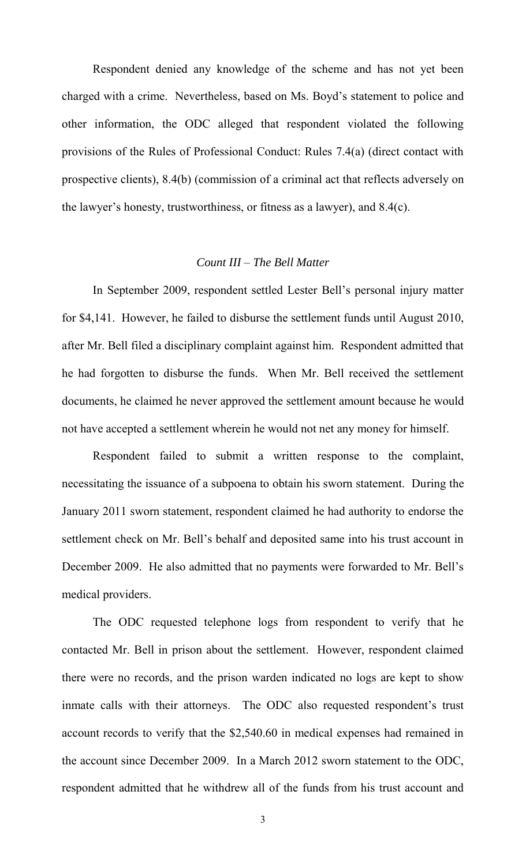Respondent denied any knowledge of the scheme and has not yet been charged with a crime. Nevertheless, based on Ms. Boyd's statement to police and other information, the ODC alleged that respondent violated the following provisions of the Rules of Professional Conduct: Rules 7.4(a) (direct contact with prospective clients), 8.4(b) (commission of a criminal act that reflects adversely on the lawyer's honesty, trustworthiness, or fitness as a lawyer), and 8.4(c).

# *Count III – The Bell Matter*

 In September 2009, respondent settled Lester Bell's personal injury matter for \$4,141. However, he failed to disburse the settlement funds until August 2010, after Mr. Bell filed a disciplinary complaint against him. Respondent admitted that he had forgotten to disburse the funds. When Mr. Bell received the settlement documents, he claimed he never approved the settlement amount because he would not have accepted a settlement wherein he would not net any money for himself.

 Respondent failed to submit a written response to the complaint, necessitating the issuance of a subpoena to obtain his sworn statement. During the January 2011 sworn statement, respondent claimed he had authority to endorse the settlement check on Mr. Bell's behalf and deposited same into his trust account in December 2009. He also admitted that no payments were forwarded to Mr. Bell's medical providers.

 The ODC requested telephone logs from respondent to verify that he contacted Mr. Bell in prison about the settlement. However, respondent claimed there were no records, and the prison warden indicated no logs are kept to show inmate calls with their attorneys. The ODC also requested respondent's trust account records to verify that the \$2,540.60 in medical expenses had remained in the account since December 2009. In a March 2012 sworn statement to the ODC, respondent admitted that he withdrew all of the funds from his trust account and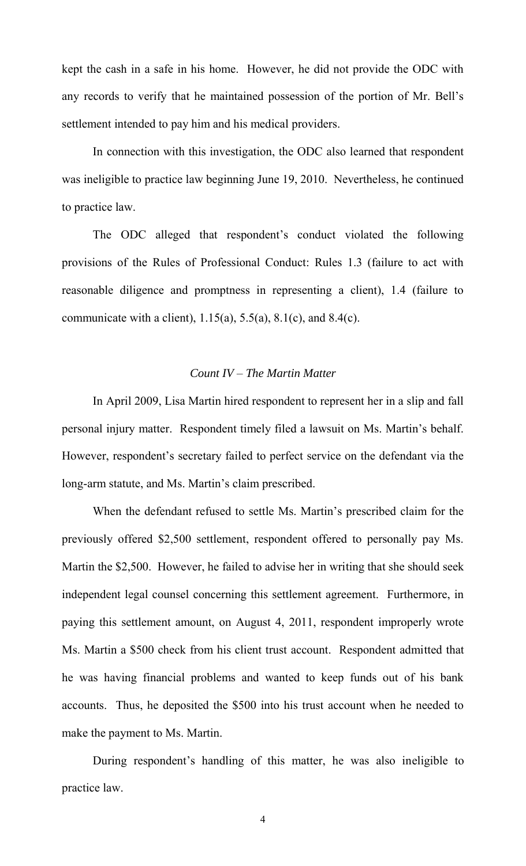kept the cash in a safe in his home. However, he did not provide the ODC with any records to verify that he maintained possession of the portion of Mr. Bell's settlement intended to pay him and his medical providers.

 In connection with this investigation, the ODC also learned that respondent was ineligible to practice law beginning June 19, 2010. Nevertheless, he continued to practice law.

 The ODC alleged that respondent's conduct violated the following provisions of the Rules of Professional Conduct: Rules 1.3 (failure to act with reasonable diligence and promptness in representing a client), 1.4 (failure to communicate with a client),  $1.15(a)$ ,  $5.5(a)$ ,  $8.1(c)$ , and  $8.4(c)$ .

### *Count IV – The Martin Matter*

In April 2009, Lisa Martin hired respondent to represent her in a slip and fall personal injury matter. Respondent timely filed a lawsuit on Ms. Martin's behalf. However, respondent's secretary failed to perfect service on the defendant via the long-arm statute, and Ms. Martin's claim prescribed.

 When the defendant refused to settle Ms. Martin's prescribed claim for the previously offered \$2,500 settlement, respondent offered to personally pay Ms. Martin the \$2,500. However, he failed to advise her in writing that she should seek independent legal counsel concerning this settlement agreement. Furthermore, in paying this settlement amount, on August 4, 2011, respondent improperly wrote Ms. Martin a \$500 check from his client trust account. Respondent admitted that he was having financial problems and wanted to keep funds out of his bank accounts. Thus, he deposited the \$500 into his trust account when he needed to make the payment to Ms. Martin.

 During respondent's handling of this matter, he was also ineligible to practice law.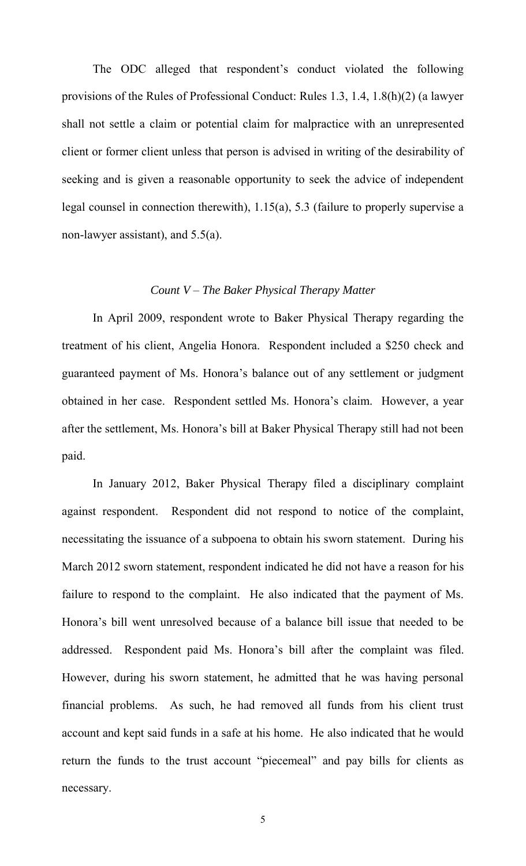The ODC alleged that respondent's conduct violated the following provisions of the Rules of Professional Conduct: Rules 1.3, 1.4, 1.8(h)(2) (a lawyer shall not settle a claim or potential claim for malpractice with an unrepresented client or former client unless that person is advised in writing of the desirability of seeking and is given a reasonable opportunity to seek the advice of independent legal counsel in connection therewith), 1.15(a), 5.3 (failure to properly supervise a non-lawyer assistant), and 5.5(a).

## *Count V – The Baker Physical Therapy Matter*

 In April 2009, respondent wrote to Baker Physical Therapy regarding the treatment of his client, Angelia Honora. Respondent included a \$250 check and guaranteed payment of Ms. Honora's balance out of any settlement or judgment obtained in her case. Respondent settled Ms. Honora's claim. However, a year after the settlement, Ms. Honora's bill at Baker Physical Therapy still had not been paid.

 In January 2012, Baker Physical Therapy filed a disciplinary complaint against respondent. Respondent did not respond to notice of the complaint, necessitating the issuance of a subpoena to obtain his sworn statement. During his March 2012 sworn statement, respondent indicated he did not have a reason for his failure to respond to the complaint. He also indicated that the payment of Ms. Honora's bill went unresolved because of a balance bill issue that needed to be addressed. Respondent paid Ms. Honora's bill after the complaint was filed. However, during his sworn statement, he admitted that he was having personal financial problems. As such, he had removed all funds from his client trust account and kept said funds in a safe at his home. He also indicated that he would return the funds to the trust account "piecemeal" and pay bills for clients as necessary.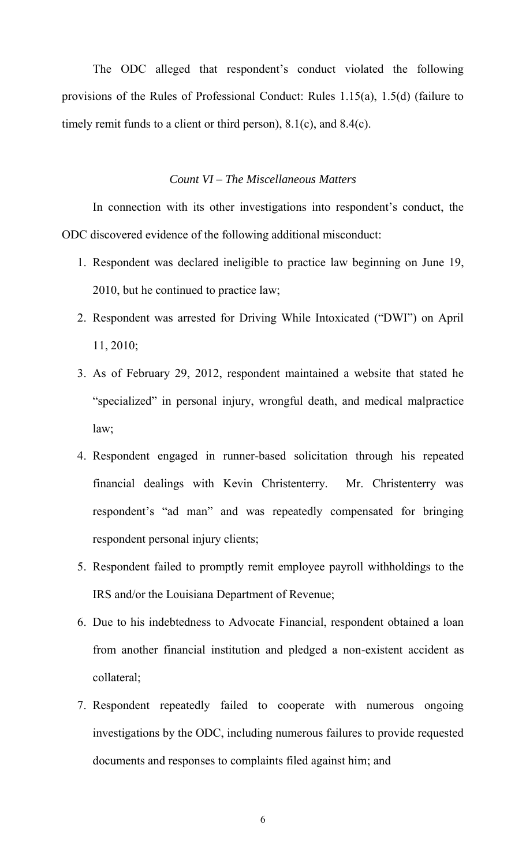The ODC alleged that respondent's conduct violated the following provisions of the Rules of Professional Conduct: Rules 1.15(a), 1.5(d) (failure to timely remit funds to a client or third person), 8.1(c), and 8.4(c).

### *Count VI – The Miscellaneous Matters*

 In connection with its other investigations into respondent's conduct, the ODC discovered evidence of the following additional misconduct:

- 1. Respondent was declared ineligible to practice law beginning on June 19, 2010, but he continued to practice law;
- 2. Respondent was arrested for Driving While Intoxicated ("DWI") on April 11, 2010;
- 3. As of February 29, 2012, respondent maintained a website that stated he "specialized" in personal injury, wrongful death, and medical malpractice law;
- 4. Respondent engaged in runner-based solicitation through his repeated financial dealings with Kevin Christenterry. Mr. Christenterry was respondent's "ad man" and was repeatedly compensated for bringing respondent personal injury clients;
- 5. Respondent failed to promptly remit employee payroll withholdings to the IRS and/or the Louisiana Department of Revenue;
- 6. Due to his indebtedness to Advocate Financial, respondent obtained a loan from another financial institution and pledged a non-existent accident as collateral;
- 7. Respondent repeatedly failed to cooperate with numerous ongoing investigations by the ODC, including numerous failures to provide requested documents and responses to complaints filed against him; and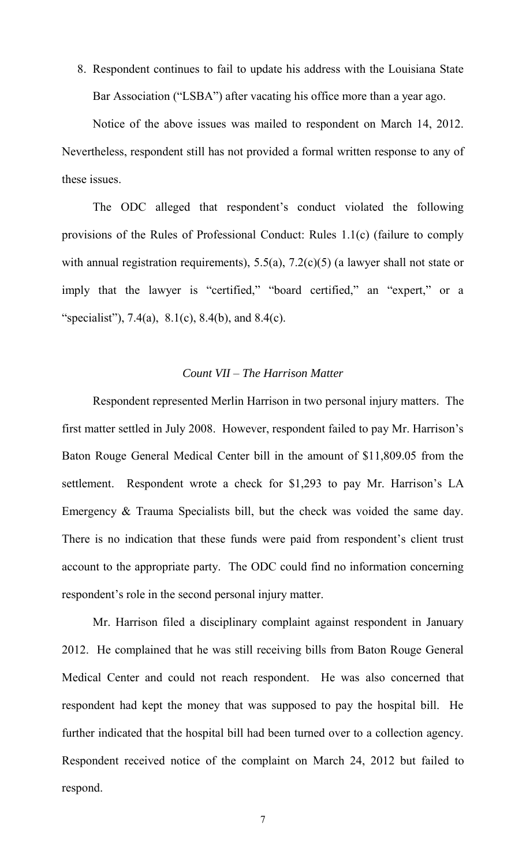8. Respondent continues to fail to update his address with the Louisiana State Bar Association ("LSBA") after vacating his office more than a year ago.

 Notice of the above issues was mailed to respondent on March 14, 2012. Nevertheless, respondent still has not provided a formal written response to any of these issues.

 The ODC alleged that respondent's conduct violated the following provisions of the Rules of Professional Conduct: Rules 1.1(c) (failure to comply with annual registration requirements), 5.5(a), 7.2(c)(5) (a lawyer shall not state or imply that the lawyer is "certified," "board certified," an "expert," or a "specialist"),  $7.4(a)$ ,  $8.1(c)$ ,  $8.4(b)$ , and  $8.4(c)$ .

#### *Count VII – The Harrison Matter*

 Respondent represented Merlin Harrison in two personal injury matters. The first matter settled in July 2008. However, respondent failed to pay Mr. Harrison's Baton Rouge General Medical Center bill in the amount of \$11,809.05 from the settlement. Respondent wrote a check for \$1,293 to pay Mr. Harrison's LA Emergency & Trauma Specialists bill, but the check was voided the same day. There is no indication that these funds were paid from respondent's client trust account to the appropriate party. The ODC could find no information concerning respondent's role in the second personal injury matter.

 Mr. Harrison filed a disciplinary complaint against respondent in January 2012. He complained that he was still receiving bills from Baton Rouge General Medical Center and could not reach respondent. He was also concerned that respondent had kept the money that was supposed to pay the hospital bill. He further indicated that the hospital bill had been turned over to a collection agency. Respondent received notice of the complaint on March 24, 2012 but failed to respond.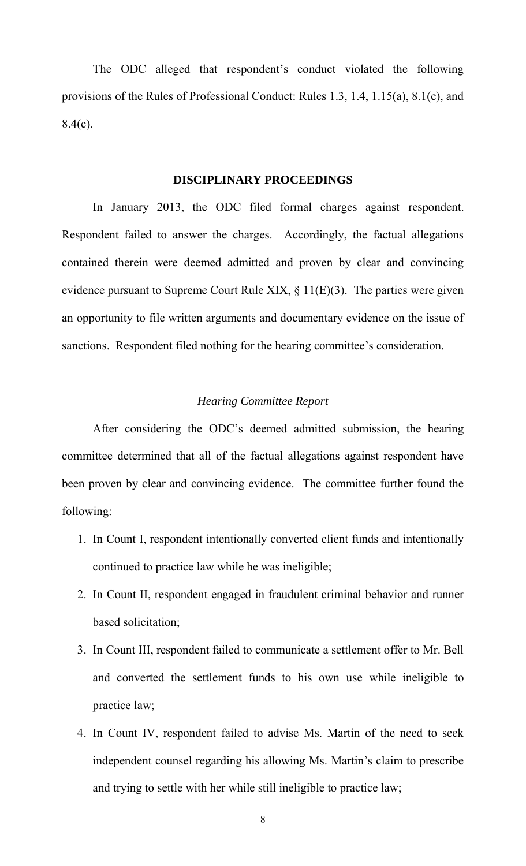The ODC alleged that respondent's conduct violated the following provisions of the Rules of Professional Conduct: Rules 1.3, 1.4, 1.15(a), 8.1(c), and  $8.4(c)$ .

#### **DISCIPLINARY PROCEEDINGS**

 In January 2013, the ODC filed formal charges against respondent. Respondent failed to answer the charges. Accordingly, the factual allegations contained therein were deemed admitted and proven by clear and convincing evidence pursuant to Supreme Court Rule XIX,  $\S$  11(E)(3). The parties were given an opportunity to file written arguments and documentary evidence on the issue of sanctions. Respondent filed nothing for the hearing committee's consideration.

### *Hearing Committee Report*

 After considering the ODC's deemed admitted submission, the hearing committee determined that all of the factual allegations against respondent have been proven by clear and convincing evidence. The committee further found the following:

- 1. In Count I, respondent intentionally converted client funds and intentionally continued to practice law while he was ineligible;
- 2. In Count II, respondent engaged in fraudulent criminal behavior and runner based solicitation;
- 3. In Count III, respondent failed to communicate a settlement offer to Mr. Bell and converted the settlement funds to his own use while ineligible to practice law;
- 4. In Count IV, respondent failed to advise Ms. Martin of the need to seek independent counsel regarding his allowing Ms. Martin's claim to prescribe and trying to settle with her while still ineligible to practice law;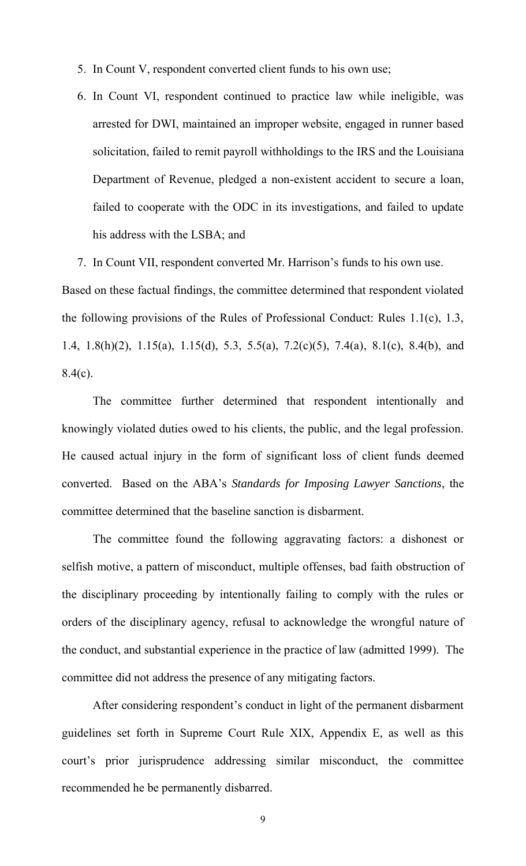- 5. In Count V, respondent converted client funds to his own use;
- 6. In Count VI, respondent continued to practice law while ineligible, was arrested for DWI, maintained an improper website, engaged in runner based solicitation, failed to remit payroll withholdings to the IRS and the Louisiana Department of Revenue, pledged a non-existent accident to secure a loan, failed to cooperate with the ODC in its investigations, and failed to update his address with the LSBA; and

7. In Count VII, respondent converted Mr. Harrison's funds to his own use.

Based on these factual findings, the committee determined that respondent violated the following provisions of the Rules of Professional Conduct: Rules 1.1(c), 1.3, 1.4, 1.8(h)(2), 1.15(a), 1.15(d), 5.3, 5.5(a), 7.2(c)(5), 7.4(a), 8.1(c), 8.4(b), and  $8.4(c)$ .

 The committee further determined that respondent intentionally and knowingly violated duties owed to his clients, the public, and the legal profession. He caused actual injury in the form of significant loss of client funds deemed converted. Based on the ABA's *Standards for Imposing Lawyer Sanctions*, the committee determined that the baseline sanction is disbarment.

 The committee found the following aggravating factors: a dishonest or selfish motive, a pattern of misconduct, multiple offenses, bad faith obstruction of the disciplinary proceeding by intentionally failing to comply with the rules or orders of the disciplinary agency, refusal to acknowledge the wrongful nature of the conduct, and substantial experience in the practice of law (admitted 1999). The committee did not address the presence of any mitigating factors.

 After considering respondent's conduct in light of the permanent disbarment guidelines set forth in Supreme Court Rule XIX, Appendix E, as well as this court's prior jurisprudence addressing similar misconduct, the committee recommended he be permanently disbarred.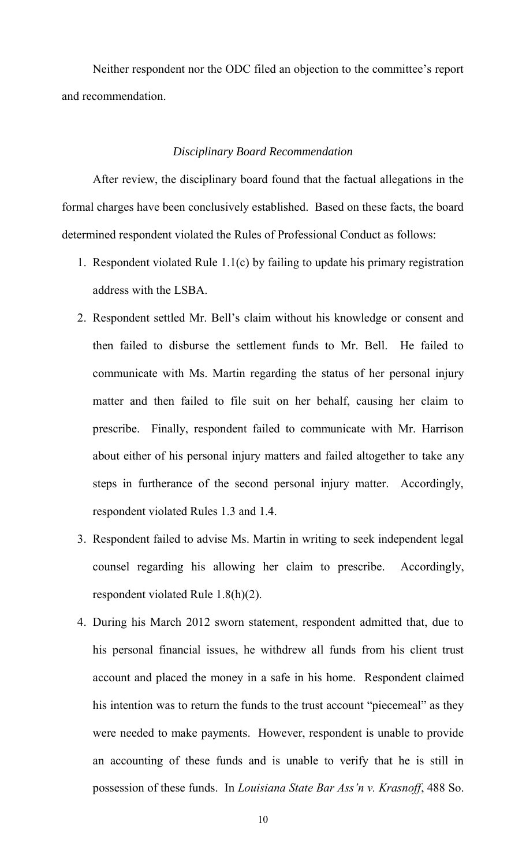Neither respondent nor the ODC filed an objection to the committee's report and recommendation.

#### *Disciplinary Board Recommendation*

 After review, the disciplinary board found that the factual allegations in the formal charges have been conclusively established. Based on these facts, the board determined respondent violated the Rules of Professional Conduct as follows:

- 1. Respondent violated Rule 1.1(c) by failing to update his primary registration address with the LSBA.
- 2. Respondent settled Mr. Bell's claim without his knowledge or consent and then failed to disburse the settlement funds to Mr. Bell. He failed to communicate with Ms. Martin regarding the status of her personal injury matter and then failed to file suit on her behalf, causing her claim to prescribe. Finally, respondent failed to communicate with Mr. Harrison about either of his personal injury matters and failed altogether to take any steps in furtherance of the second personal injury matter. Accordingly, respondent violated Rules 1.3 and 1.4.
- 3. Respondent failed to advise Ms. Martin in writing to seek independent legal counsel regarding his allowing her claim to prescribe. Accordingly, respondent violated Rule 1.8(h)(2).
- 4. During his March 2012 sworn statement, respondent admitted that, due to his personal financial issues, he withdrew all funds from his client trust account and placed the money in a safe in his home. Respondent claimed his intention was to return the funds to the trust account "piecemeal" as they were needed to make payments. However, respondent is unable to provide an accounting of these funds and is unable to verify that he is still in possession of these funds. In *Louisiana State Bar Ass'n v. Krasnoff*, 488 So.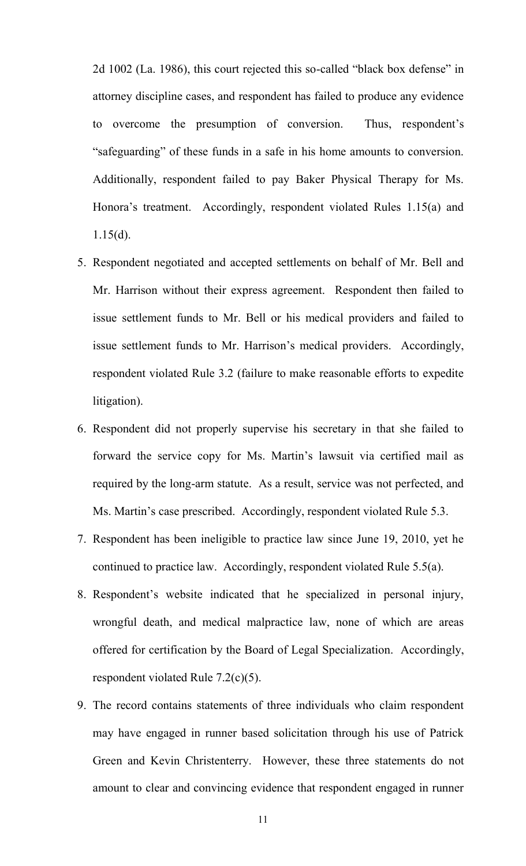2d 1002 (La. 1986), this court rejected this so-called "black box defense" in attorney discipline cases, and respondent has failed to produce any evidence to overcome the presumption of conversion. Thus, respondent's "safeguarding" of these funds in a safe in his home amounts to conversion. Additionally, respondent failed to pay Baker Physical Therapy for Ms. Honora's treatment. Accordingly, respondent violated Rules 1.15(a) and 1.15(d).

- 5. Respondent negotiated and accepted settlements on behalf of Mr. Bell and Mr. Harrison without their express agreement. Respondent then failed to issue settlement funds to Mr. Bell or his medical providers and failed to issue settlement funds to Mr. Harrison's medical providers. Accordingly, respondent violated Rule 3.2 (failure to make reasonable efforts to expedite litigation).
- 6. Respondent did not properly supervise his secretary in that she failed to forward the service copy for Ms. Martin's lawsuit via certified mail as required by the long-arm statute. As a result, service was not perfected, and Ms. Martin's case prescribed. Accordingly, respondent violated Rule 5.3.
- 7. Respondent has been ineligible to practice law since June 19, 2010, yet he continued to practice law. Accordingly, respondent violated Rule 5.5(a).
- 8. Respondent's website indicated that he specialized in personal injury, wrongful death, and medical malpractice law, none of which are areas offered for certification by the Board of Legal Specialization. Accordingly, respondent violated Rule 7.2(c)(5).
- 9. The record contains statements of three individuals who claim respondent may have engaged in runner based solicitation through his use of Patrick Green and Kevin Christenterry. However, these three statements do not amount to clear and convincing evidence that respondent engaged in runner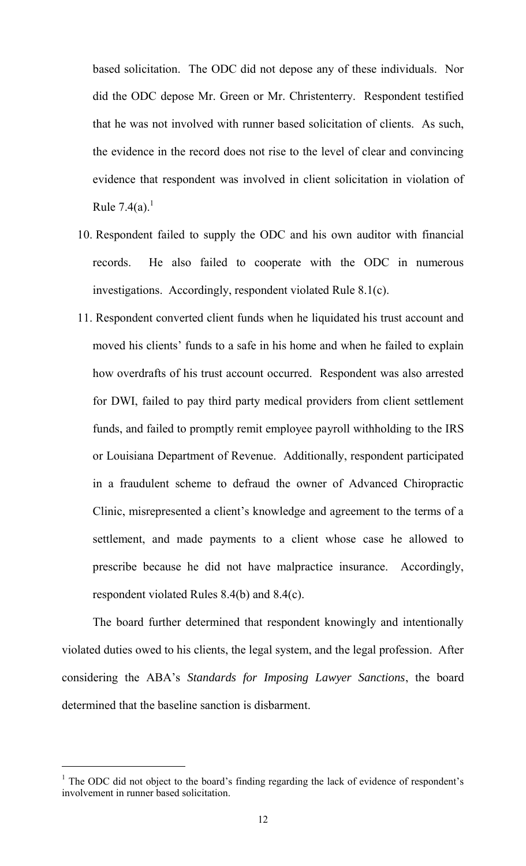based solicitation. The ODC did not depose any of these individuals. Nor did the ODC depose Mr. Green or Mr. Christenterry. Respondent testified that he was not involved with runner based solicitation of clients. As such, the evidence in the record does not rise to the level of clear and convincing evidence that respondent was involved in client solicitation in violation of Rule  $7.4(a)$ <sup>1</sup>

- 10. Respondent failed to supply the ODC and his own auditor with financial records. He also failed to cooperate with the ODC in numerous investigations. Accordingly, respondent violated Rule 8.1(c).
- 11. Respondent converted client funds when he liquidated his trust account and moved his clients' funds to a safe in his home and when he failed to explain how overdrafts of his trust account occurred. Respondent was also arrested for DWI, failed to pay third party medical providers from client settlement funds, and failed to promptly remit employee payroll withholding to the IRS or Louisiana Department of Revenue. Additionally, respondent participated in a fraudulent scheme to defraud the owner of Advanced Chiropractic Clinic, misrepresented a client's knowledge and agreement to the terms of a settlement, and made payments to a client whose case he allowed to prescribe because he did not have malpractice insurance. Accordingly, respondent violated Rules 8.4(b) and 8.4(c).

 The board further determined that respondent knowingly and intentionally violated duties owed to his clients, the legal system, and the legal profession. After considering the ABA's *Standards for Imposing Lawyer Sanctions*, the board determined that the baseline sanction is disbarment.

 $\overline{a}$ 

<sup>&</sup>lt;sup>1</sup> The ODC did not object to the board's finding regarding the lack of evidence of respondent's involvement in runner based solicitation.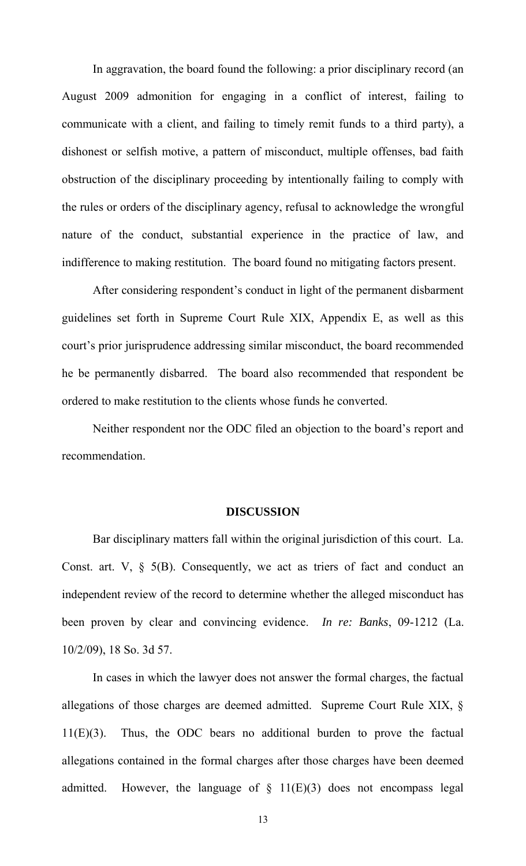In aggravation, the board found the following: a prior disciplinary record (an August 2009 admonition for engaging in a conflict of interest, failing to communicate with a client, and failing to timely remit funds to a third party), a dishonest or selfish motive, a pattern of misconduct, multiple offenses, bad faith obstruction of the disciplinary proceeding by intentionally failing to comply with the rules or orders of the disciplinary agency, refusal to acknowledge the wrongful nature of the conduct, substantial experience in the practice of law, and indifference to making restitution. The board found no mitigating factors present.

 After considering respondent's conduct in light of the permanent disbarment guidelines set forth in Supreme Court Rule XIX, Appendix E, as well as this court's prior jurisprudence addressing similar misconduct, the board recommended he be permanently disbarred. The board also recommended that respondent be ordered to make restitution to the clients whose funds he converted.

 Neither respondent nor the ODC filed an objection to the board's report and recommendation.

#### **DISCUSSION**

Bar disciplinary matters fall within the original jurisdiction of this court. La. Const. art.  $V$ ,  $\S$  5(B). Consequently, we act as triers of fact and conduct an independent review of the record to determine whether the alleged misconduct has been proven by clear and convincing evidence. *In re: Banks*, 09-1212 (La. 10/2/09), 18 So. 3d 57.

In cases in which the lawyer does not answer the formal charges, the factual allegations of those charges are deemed admitted. Supreme Court Rule XIX, § 11(E)(3). Thus, the ODC bears no additional burden to prove the factual allegations contained in the formal charges after those charges have been deemed admitted. However, the language of  $\S$  11(E)(3) does not encompass legal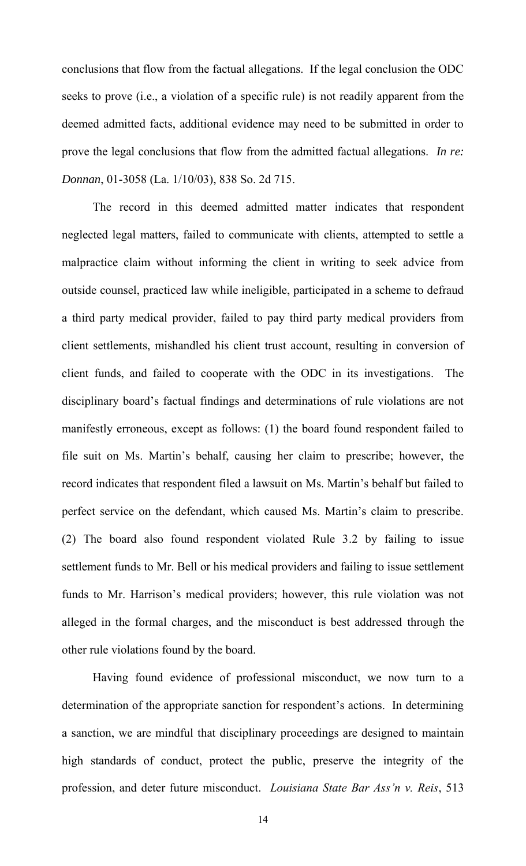conclusions that flow from the factual allegations. If the legal conclusion the ODC seeks to prove (i.e., a violation of a specific rule) is not readily apparent from the deemed admitted facts, additional evidence may need to be submitted in order to prove the legal conclusions that flow from the admitted factual allegations. *In re: Donnan*, 01-3058 (La. 1/10/03), 838 So. 2d 715.

 The record in this deemed admitted matter indicates that respondent neglected legal matters, failed to communicate with clients, attempted to settle a malpractice claim without informing the client in writing to seek advice from outside counsel, practiced law while ineligible, participated in a scheme to defraud a third party medical provider, failed to pay third party medical providers from client settlements, mishandled his client trust account, resulting in conversion of client funds, and failed to cooperate with the ODC in its investigations. The disciplinary board's factual findings and determinations of rule violations are not manifestly erroneous, except as follows: (1) the board found respondent failed to file suit on Ms. Martin's behalf, causing her claim to prescribe; however, the record indicates that respondent filed a lawsuit on Ms. Martin's behalf but failed to perfect service on the defendant, which caused Ms. Martin's claim to prescribe. (2) The board also found respondent violated Rule 3.2 by failing to issue settlement funds to Mr. Bell or his medical providers and failing to issue settlement funds to Mr. Harrison's medical providers; however, this rule violation was not alleged in the formal charges, and the misconduct is best addressed through the other rule violations found by the board.

Having found evidence of professional misconduct, we now turn to a determination of the appropriate sanction for respondent's actions. In determining a sanction, we are mindful that disciplinary proceedings are designed to maintain high standards of conduct, protect the public, preserve the integrity of the profession, and deter future misconduct. *Louisiana State Bar Ass'n v. Reis*, 513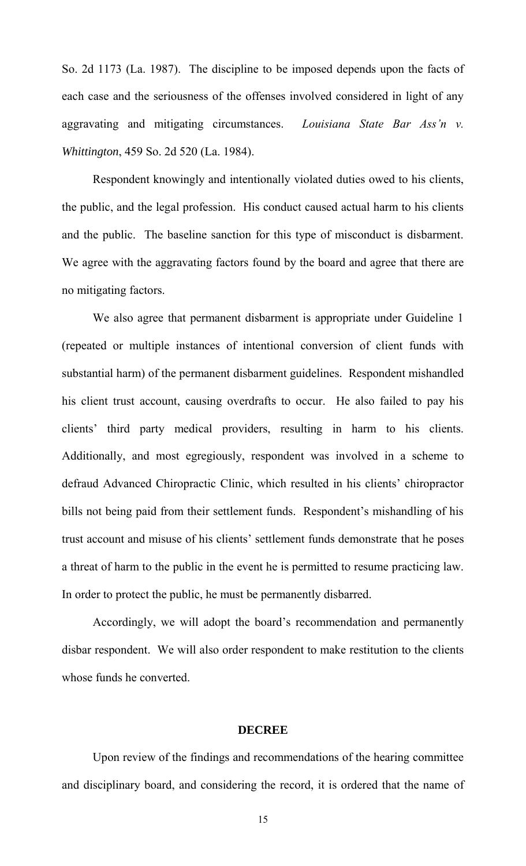So. 2d 1173 (La. 1987). The discipline to be imposed depends upon the facts of each case and the seriousness of the offenses involved considered in light of any aggravating and mitigating circumstances. *Louisiana State Bar Ass'n v. Whittington*, 459 So. 2d 520 (La. 1984).

 Respondent knowingly and intentionally violated duties owed to his clients, the public, and the legal profession. His conduct caused actual harm to his clients and the public. The baseline sanction for this type of misconduct is disbarment. We agree with the aggravating factors found by the board and agree that there are no mitigating factors.

 We also agree that permanent disbarment is appropriate under Guideline 1 (repeated or multiple instances of intentional conversion of client funds with substantial harm) of the permanent disbarment guidelines. Respondent mishandled his client trust account, causing overdrafts to occur. He also failed to pay his clients' third party medical providers, resulting in harm to his clients. Additionally, and most egregiously, respondent was involved in a scheme to defraud Advanced Chiropractic Clinic, which resulted in his clients' chiropractor bills not being paid from their settlement funds. Respondent's mishandling of his trust account and misuse of his clients' settlement funds demonstrate that he poses a threat of harm to the public in the event he is permitted to resume practicing law. In order to protect the public, he must be permanently disbarred.

 Accordingly, we will adopt the board's recommendation and permanently disbar respondent. We will also order respondent to make restitution to the clients whose funds he converted.

#### **DECREE**

 Upon review of the findings and recommendations of the hearing committee and disciplinary board, and considering the record, it is ordered that the name of